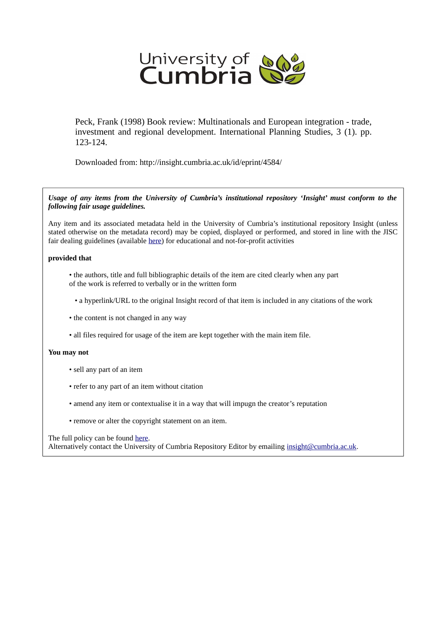

Peck, Frank (1998) Book review: Multinationals and European integration - trade, investment and regional development. International Planning Studies, 3 (1). pp. 123-124.

Downloaded from: http://insight.cumbria.ac.uk/id/eprint/4584/

*Usage of any items from the University of Cumbria's institutional repository 'Insight' must conform to the following fair usage guidelines.*

Any item and its associated metadata held in the University of Cumbria's institutional repository Insight (unless stated otherwise on the metadata record) may be copied, displayed or performed, and stored in line with the JISC fair dealing guidelines (available [here\)](http://www.ukoln.ac.uk/services/elib/papers/pa/fair/) for educational and not-for-profit activities

# **provided that**

- the authors, title and full bibliographic details of the item are cited clearly when any part of the work is referred to verbally or in the written form
	- a hyperlink/URL to the original Insight record of that item is included in any citations of the work
- the content is not changed in any way
- all files required for usage of the item are kept together with the main item file.

# **You may not**

- sell any part of an item
- refer to any part of an item without citation
- amend any item or contextualise it in a way that will impugn the creator's reputation
- remove or alter the copyright statement on an item.

#### The full policy can be found [here.](http://insight.cumbria.ac.uk/legal.html#section5)

Alternatively contact the University of Cumbria Repository Editor by emailing [insight@cumbria.ac.uk.](mailto:insight@cumbria.ac.uk)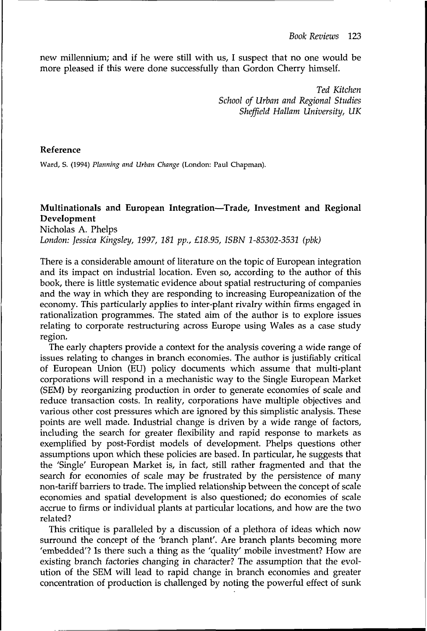new millennium; and if he were still with us, I suspect that no one would be more pleased if this were done successfully than Gordon Cherry himself.

> *Ted Kitchen School of Urban and Regional Studies Sheffield Hallam University, UK*

### Reference

Ward, S. (1994) *Planning and Urban Change* (London: Paul Chapman).

# **Multinationals and European Integration**—**Trade, Investment and Regional Development**

Nicholas A. Phelps *London: Jessica Kingsley, 1997, 181 pp., £18.95, ISBN 1-85302-3531 (pbk)*

There is a considerable amount of literature on the topic of European integration and its impact on industrial location. Even so, according to the author of this book, there is little systematic evidence about spatial restructuring of companies and the way in which they are responding to increasing Europeanization of the economy. This particularly applies to inter-plant rivalry within firms engaged in rationalization programmes. The stated aim of the author is to explore issues relating to corporate restructuring across Europe using Wales as a case study region.

The early chapters provide a context for the analysis covering a wide range of issues relating to changes in branch economies. The author is justifiably critical of European Union (EU) policy documents which assume that multi-plant corporations will respond in a mechanistic way to the Single European Market (SEM) by reorganizing production in order to generate economies of scale and reduce transaction costs. In reality, corporations have multiple objectives and various other cost pressures which are ignored by this simplistic analysis. These points are well made. Industrial change is driven by a wide range of factors, including the search for greater flexibility and rapid response to markets as exemplified by post-Fordist models of development. Phelps questions other assumptions upon which these policies are based. In particular, he suggests that the 'Single' European Market is, in fact, still rather fragmented and that the search for economies of scale may be frustrated by the persistence of many non-tariff barriers to trade. The implied relationship between the concept of scale economies and spatial development is also questioned; do economies of scale accrue to firms or individual plants at particular locations, and how are the two related?

This critique is paralleled by a discussion of a plethora of ideas which now surround the concept of the 'branch plant'. Are branch plants becoming more 'embedded'? Is there such a thing as the 'quality' mobile investment? How are existing branch factories changing in character? The assumption that the evolution of the SEM will lead to rapid change in branch economies and greater concentration of production is challenged by noting the powerful effect of sunk